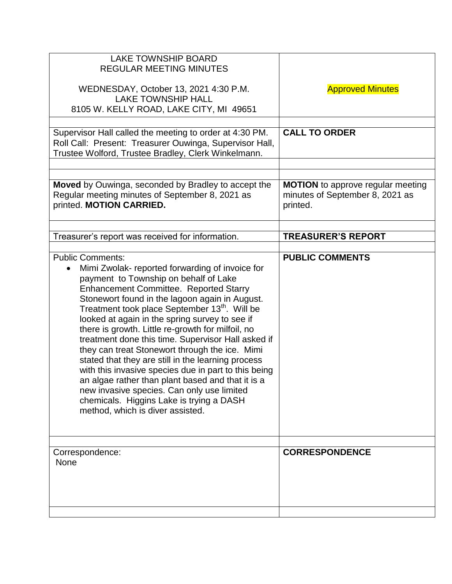| <b>Approved Minutes</b>                                                                 |
|-----------------------------------------------------------------------------------------|
|                                                                                         |
| <b>CALL TO ORDER</b>                                                                    |
| <b>MOTION</b> to approve regular meeting<br>minutes of September 8, 2021 as<br>printed. |
| <b>TREASURER'S REPORT</b>                                                               |
| <b>PUBLIC COMMENTS</b>                                                                  |
| <b>CORRESPONDENCE</b>                                                                   |
|                                                                                         |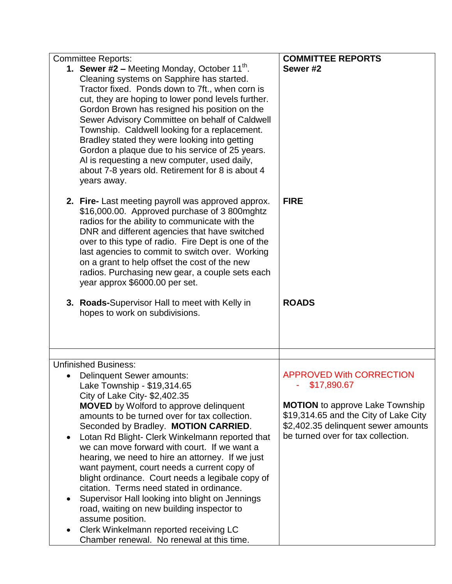| <b>Committee Reports:</b>                                                                       | <b>COMMITTEE REPORTS</b>                                                     |
|-------------------------------------------------------------------------------------------------|------------------------------------------------------------------------------|
| <b>1. Sewer #2 – Meeting Monday, October 11<sup>th</sup>.</b>                                   | Sewer #2                                                                     |
| Cleaning systems on Sapphire has started.                                                       |                                                                              |
| Tractor fixed. Ponds down to 7ft., when corn is                                                 |                                                                              |
| cut, they are hoping to lower pond levels further.                                              |                                                                              |
| Gordon Brown has resigned his position on the                                                   |                                                                              |
| Sewer Advisory Committee on behalf of Caldwell                                                  |                                                                              |
| Township. Caldwell looking for a replacement.                                                   |                                                                              |
| Bradley stated they were looking into getting                                                   |                                                                              |
| Gordon a plaque due to his service of 25 years.                                                 |                                                                              |
| Al is requesting a new computer, used daily,                                                    |                                                                              |
| about 7-8 years old. Retirement for 8 is about 4                                                |                                                                              |
| years away.                                                                                     |                                                                              |
|                                                                                                 |                                                                              |
| 2. Fire- Last meeting payroll was approved approx.                                              | <b>FIRE</b>                                                                  |
| \$16,000.00. Approved purchase of 3 800mghtz                                                    |                                                                              |
| radios for the ability to communicate with the                                                  |                                                                              |
| DNR and different agencies that have switched                                                   |                                                                              |
| over to this type of radio. Fire Dept is one of the                                             |                                                                              |
| last agencies to commit to switch over. Working                                                 |                                                                              |
| on a grant to help offset the cost of the new                                                   |                                                                              |
| radios. Purchasing new gear, a couple sets each                                                 |                                                                              |
| year approx \$6000.00 per set.                                                                  |                                                                              |
| 3. Roads-Supervisor Hall to meet with Kelly in                                                  | <b>ROADS</b>                                                                 |
| hopes to work on subdivisions.                                                                  |                                                                              |
|                                                                                                 |                                                                              |
|                                                                                                 |                                                                              |
|                                                                                                 |                                                                              |
| <b>Unfinished Business:</b>                                                                     |                                                                              |
| <b>Delinquent Sewer amounts:</b>                                                                | <b>APPROVED With CORRECTION</b>                                              |
| Lake Township - \$19,314.65                                                                     | \$17,890.67                                                                  |
| City of Lake City- \$2,402.35                                                                   |                                                                              |
| <b>MOVED</b> by Wolford to approve delinquent                                                   | <b>MOTION</b> to approve Lake Township                                       |
| amounts to be turned over for tax collection.                                                   | \$19,314.65 and the City of Lake City<br>\$2,402.35 delinquent sewer amounts |
| Seconded by Bradley. MOTION CARRIED.                                                            | be turned over for tax collection.                                           |
| Lotan Rd Blight- Clerk Winkelmann reported that<br>we can move forward with court. If we want a |                                                                              |
|                                                                                                 |                                                                              |
| hearing, we need to hire an attorney. If we just<br>want payment, court needs a current copy of |                                                                              |
| blight ordinance. Court needs a legibale copy of                                                |                                                                              |
| citation. Terms need stated in ordinance.                                                       |                                                                              |
| Supervisor Hall looking into blight on Jennings                                                 |                                                                              |
| road, waiting on new building inspector to                                                      |                                                                              |
| assume position.                                                                                |                                                                              |
|                                                                                                 |                                                                              |
| Clerk Winkelmann reported receiving LC                                                          |                                                                              |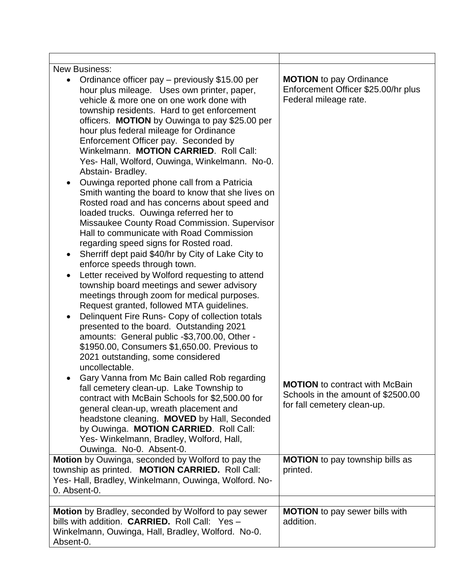| <b>New Business:</b>                                                                                                                                                                                                                                                                                                                                                                                                                                                                                                                                                                                                                                                                                                                                                                                                                                                                                                                                                                                                                                                                                                                                                                                                                                                                                                                                              |                                                                                                            |
|-------------------------------------------------------------------------------------------------------------------------------------------------------------------------------------------------------------------------------------------------------------------------------------------------------------------------------------------------------------------------------------------------------------------------------------------------------------------------------------------------------------------------------------------------------------------------------------------------------------------------------------------------------------------------------------------------------------------------------------------------------------------------------------------------------------------------------------------------------------------------------------------------------------------------------------------------------------------------------------------------------------------------------------------------------------------------------------------------------------------------------------------------------------------------------------------------------------------------------------------------------------------------------------------------------------------------------------------------------------------|------------------------------------------------------------------------------------------------------------|
| Ordinance officer pay – previously \$15.00 per<br>hour plus mileage. Uses own printer, paper,<br>vehicle & more one on one work done with<br>township residents. Hard to get enforcement<br>officers. MOTION by Ouwinga to pay \$25.00 per<br>hour plus federal mileage for Ordinance<br>Enforcement Officer pay. Seconded by<br>Winkelmann. MOTION CARRIED. Roll Call:<br>Yes- Hall, Wolford, Ouwinga, Winkelmann. No-0.<br>Abstain-Bradley.<br>Ouwinga reported phone call from a Patricia<br>$\bullet$<br>Smith wanting the board to know that she lives on<br>Rosted road and has concerns about speed and<br>loaded trucks. Ouwinga referred her to<br>Missaukee County Road Commission. Supervisor<br>Hall to communicate with Road Commission<br>regarding speed signs for Rosted road.<br>Sherriff dept paid \$40/hr by City of Lake City to<br>$\bullet$<br>enforce speeds through town.<br>Letter received by Wolford requesting to attend<br>$\bullet$<br>township board meetings and sewer advisory<br>meetings through zoom for medical purposes.<br>Request granted, followed MTA guidelines.<br>Delinquent Fire Runs- Copy of collection totals<br>presented to the board. Outstanding 2021<br>amounts: General public -\$3,700.00, Other -<br>\$1950.00, Consumers \$1,650.00. Previous to<br>2021 outstanding, some considered<br>uncollectable. | <b>MOTION</b> to pay Ordinance<br>Enforcement Officer \$25.00/hr plus<br>Federal mileage rate.             |
| Gary Vanna from Mc Bain called Rob regarding<br>fall cemetery clean-up. Lake Township to<br>contract with McBain Schools for \$2,500.00 for<br>general clean-up, wreath placement and<br>headstone cleaning. MOVED by Hall, Seconded<br>by Ouwinga. MOTION CARRIED. Roll Call:<br>Yes- Winkelmann, Bradley, Wolford, Hall,<br>Ouwinga. No-0. Absent-0.                                                                                                                                                                                                                                                                                                                                                                                                                                                                                                                                                                                                                                                                                                                                                                                                                                                                                                                                                                                                            | <b>MOTION</b> to contract with McBain<br>Schools in the amount of \$2500.00<br>for fall cemetery clean-up. |
| Motion by Ouwinga, seconded by Wolford to pay the                                                                                                                                                                                                                                                                                                                                                                                                                                                                                                                                                                                                                                                                                                                                                                                                                                                                                                                                                                                                                                                                                                                                                                                                                                                                                                                 | <b>MOTION</b> to pay township bills as                                                                     |
| township as printed. MOTION CARRIED. Roll Call:<br>Yes- Hall, Bradley, Winkelmann, Ouwinga, Wolford. No-<br>0. Absent-0.                                                                                                                                                                                                                                                                                                                                                                                                                                                                                                                                                                                                                                                                                                                                                                                                                                                                                                                                                                                                                                                                                                                                                                                                                                          | printed.                                                                                                   |
| Motion by Bradley, seconded by Wolford to pay sewer                                                                                                                                                                                                                                                                                                                                                                                                                                                                                                                                                                                                                                                                                                                                                                                                                                                                                                                                                                                                                                                                                                                                                                                                                                                                                                               | <b>MOTION</b> to pay sewer bills with                                                                      |
| bills with addition. CARRIED. Roll Call: Yes -<br>Winkelmann, Ouwinga, Hall, Bradley, Wolford. No-0.<br>Absent-0.                                                                                                                                                                                                                                                                                                                                                                                                                                                                                                                                                                                                                                                                                                                                                                                                                                                                                                                                                                                                                                                                                                                                                                                                                                                 | addition.                                                                                                  |